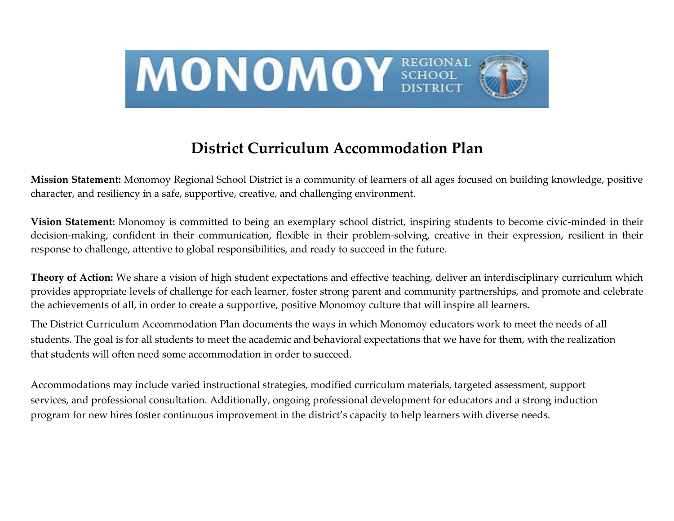

# **District Curriculum Accommodation Plan**

**Mission Statement:** Monomoy Regional School District is a community of learners of all ages focused on building knowledge, positive character, and resiliency in a safe, supportive, creative, and challenging environment.

**Vision Statement:** Monomoy is committed to being an exemplary school district, inspiring students to become civic-minded in their decision-making, confident in their communication, flexible in their problem-solving, creative in their expression, resilient in their response to challenge, attentive to global responsibilities, and ready to succeed in the future.

**Theory of Action:** We share a vision of high student expectations and effective teaching, deliver an interdisciplinary curriculum which provides appropriate levels of challenge for each learner, foster strong parent and community partnerships, and promote and celebrate the achievements of all, in order to create a supportive, positive Monomoy culture that will inspire all learners.

The District Curriculum Accommodation Plan documents the ways in which Monomoy educators work to meet the needs of all students. The goal is for all students to meet the academic and behavioral expectations that we have for them, with the realization that students will often need some accommodation in order to succeed.

Accommodations may include varied instructional strategies, modified curriculum materials, targeted assessment, support services, and professional consultation. Additionally, ongoing professional development for educators and a strong induction program for new hires foster continuous improvement in the district's capacity to help learners with diverse needs.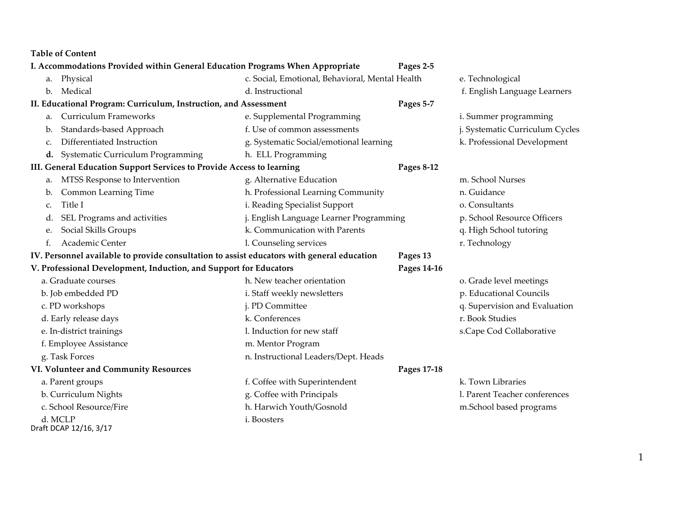**Table of Content**

|                                                                   |                                                                       | I. Accommodations Provided within General Education Programs When Appropriate              | Pages 2-5   |                                 |
|-------------------------------------------------------------------|-----------------------------------------------------------------------|--------------------------------------------------------------------------------------------|-------------|---------------------------------|
| Physical<br>a.                                                    |                                                                       | c. Social, Emotional, Behavioral, Mental Health                                            |             | e. Technological                |
| Medical<br>b.                                                     |                                                                       | d. Instructional                                                                           |             | f. English Language Learners    |
| II. Educational Program: Curriculum, Instruction, and Assessment  |                                                                       | Pages 5-7                                                                                  |             |                                 |
| <b>Curriculum Frameworks</b><br>a.                                |                                                                       | e. Supplemental Programming                                                                |             | i. Summer programming           |
| Standards-based Approach<br>b.                                    |                                                                       | f. Use of common assessments                                                               |             | j. Systematic Curriculum Cycles |
| Differentiated Instruction<br>c.                                  |                                                                       | g. Systematic Social/emotional learning                                                    |             | k. Professional Development     |
| Systematic Curriculum Programming<br>d.                           |                                                                       | h. ELL Programming                                                                         |             |                                 |
|                                                                   | III. General Education Support Services to Provide Access to learning |                                                                                            | Pages 8-12  |                                 |
| MTSS Response to Intervention<br>a.                               |                                                                       | g. Alternative Education                                                                   |             | m. School Nurses                |
| Common Learning Time<br>b.                                        |                                                                       | h. Professional Learning Community                                                         |             | n. Guidance                     |
| Title I<br>C.                                                     |                                                                       | i. Reading Specialist Support                                                              |             | o. Consultants                  |
| SEL Programs and activities<br>d.                                 |                                                                       | j. English Language Learner Programming                                                    |             | p. School Resource Officers     |
| Social Skills Groups<br>e.                                        |                                                                       | k. Communication with Parents                                                              |             | q. High School tutoring         |
| Academic Center<br>f.                                             |                                                                       | l. Counseling services                                                                     |             | r. Technology                   |
|                                                                   |                                                                       | IV. Personnel available to provide consultation to assist educators with general education | Pages 13    |                                 |
| V. Professional Development, Induction, and Support for Educators |                                                                       | Pages 14-16                                                                                |             |                                 |
| a. Graduate courses                                               |                                                                       | h. New teacher orientation                                                                 |             | o. Grade level meetings         |
| b. Job embedded PD                                                |                                                                       | i. Staff weekly newsletters                                                                |             | p. Educational Councils         |
| c. PD workshops                                                   |                                                                       | j. PD Committee                                                                            |             | q. Supervision and Evaluation   |
| d. Early release days                                             |                                                                       | k. Conferences                                                                             |             | r. Book Studies                 |
| e. In-district trainings                                          |                                                                       | l. Induction for new staff                                                                 |             | s.Cape Cod Collaborative        |
| f. Employee Assistance                                            |                                                                       | m. Mentor Program                                                                          |             |                                 |
| g. Task Forces                                                    |                                                                       | n. Instructional Leaders/Dept. Heads                                                       |             |                                 |
| VI. Volunteer and Community Resources                             |                                                                       |                                                                                            | Pages 17-18 |                                 |
| a. Parent groups                                                  |                                                                       | f. Coffee with Superintendent                                                              |             | k. Town Libraries               |
| b. Curriculum Nights                                              |                                                                       | g. Coffee with Principals                                                                  |             | l. Parent Teacher conferences   |
| c. School Resource/Fire                                           |                                                                       | h. Harwich Youth/Gosnold                                                                   |             | m.School based programs         |
| d. MCLP<br>Draft DCAP 12/16, 3/17                                 |                                                                       | i. Boosters                                                                                |             |                                 |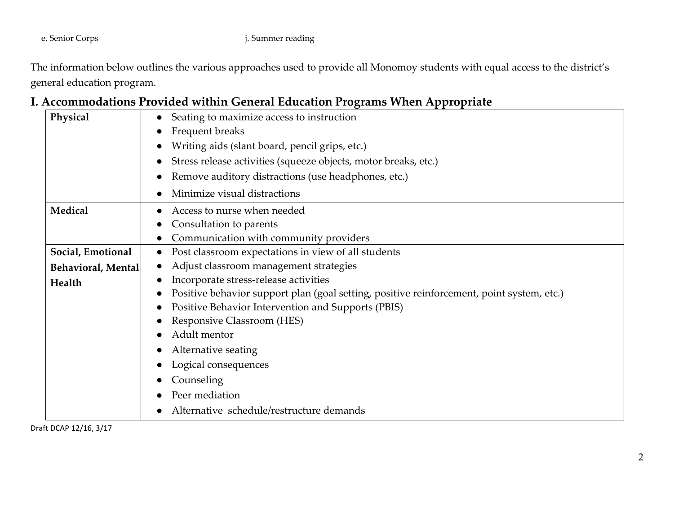#### e. Senior Corps j. Summer reading

The information below outlines the various approaches used to provide all Monomoy students with equal access to the district's general education program.

### **I. Accommodations Provided within General Education Programs When Appropriate**

| Physical                  | Seating to maximize access to instruction                                                 |
|---------------------------|-------------------------------------------------------------------------------------------|
|                           | Frequent breaks                                                                           |
|                           | Writing aids (slant board, pencil grips, etc.)                                            |
|                           | Stress release activities (squeeze objects, motor breaks, etc.)<br>$\bullet$              |
|                           | Remove auditory distractions (use headphones, etc.)<br>$\bullet$                          |
|                           | Minimize visual distractions                                                              |
| Medical                   | Access to nurse when needed<br>$\bullet$                                                  |
|                           | Consultation to parents                                                                   |
|                           | Communication with community providers                                                    |
| Social, Emotional         | Post classroom expectations in view of all students<br>$\bullet$                          |
| <b>Behavioral, Mental</b> | Adjust classroom management strategies                                                    |
| Health                    | Incorporate stress-release activities                                                     |
|                           | Positive behavior support plan (goal setting, positive reinforcement, point system, etc.) |
|                           | Positive Behavior Intervention and Supports (PBIS)                                        |
|                           | Responsive Classroom (HES)                                                                |
|                           | Adult mentor                                                                              |
|                           | Alternative seating                                                                       |
|                           | Logical consequences                                                                      |
|                           | Counseling                                                                                |
|                           | Peer mediation                                                                            |
|                           | Alternative schedule/restructure demands                                                  |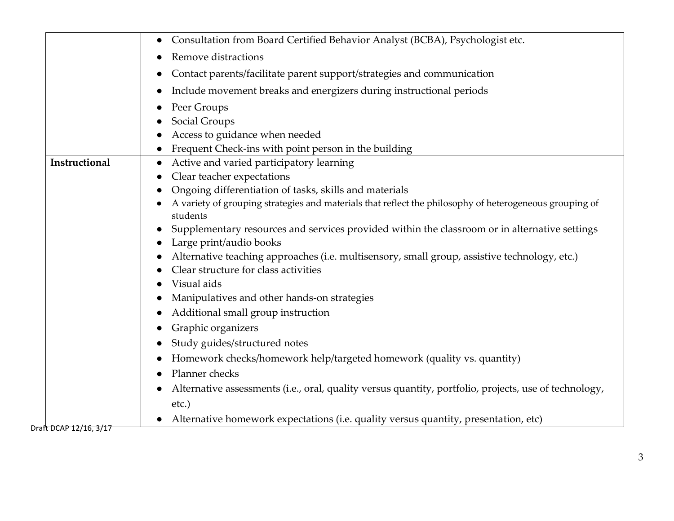|                        | Consultation from Board Certified Behavior Analyst (BCBA), Psychologist etc.                                             |
|------------------------|--------------------------------------------------------------------------------------------------------------------------|
|                        | Remove distractions                                                                                                      |
|                        | Contact parents/facilitate parent support/strategies and communication                                                   |
|                        | Include movement breaks and energizers during instructional periods                                                      |
|                        | Peer Groups                                                                                                              |
|                        | Social Groups                                                                                                            |
|                        | Access to guidance when needed                                                                                           |
|                        | Frequent Check-ins with point person in the building                                                                     |
| Instructional          | Active and varied participatory learning<br>$\bullet$                                                                    |
|                        | Clear teacher expectations                                                                                               |
|                        | Ongoing differentiation of tasks, skills and materials                                                                   |
|                        | A variety of grouping strategies and materials that reflect the philosophy of heterogeneous grouping of                  |
|                        | students                                                                                                                 |
|                        | Supplementary resources and services provided within the classroom or in alternative settings<br>Large print/audio books |
|                        | Alternative teaching approaches (i.e. multisensory, small group, assistive technology, etc.)                             |
|                        | Clear structure for class activities                                                                                     |
|                        | Visual aids                                                                                                              |
|                        | Manipulatives and other hands-on strategies                                                                              |
|                        | Additional small group instruction                                                                                       |
|                        | Graphic organizers                                                                                                       |
|                        | Study guides/structured notes                                                                                            |
|                        | Homework checks/homework help/targeted homework (quality vs. quantity)                                                   |
|                        | Planner checks                                                                                                           |
|                        | Alternative assessments (i.e., oral, quality versus quantity, portfolio, projects, use of technology,                    |
|                        | etc.)                                                                                                                    |
|                        | Alternative homework expectations (i.e. quality versus quantity, presentation, etc)                                      |
| Draft DCAP 12/16, 3/17 |                                                                                                                          |

3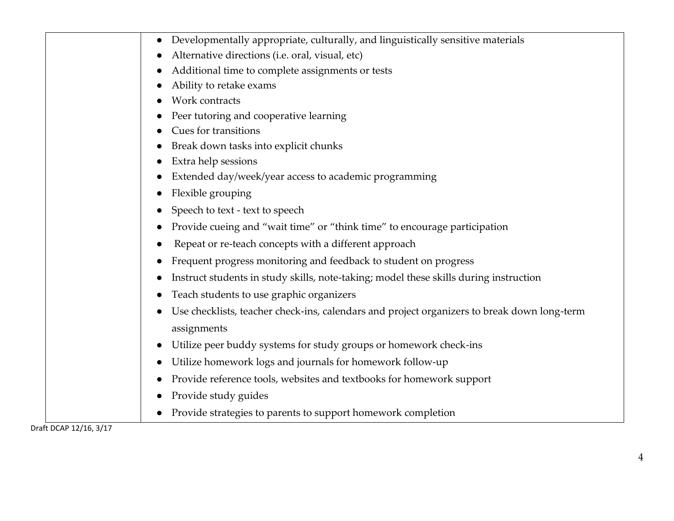|                | Developmentally appropriate, culturally, and linguistically sensitive materials             |
|----------------|---------------------------------------------------------------------------------------------|
|                | Alternative directions (i.e. oral, visual, etc)                                             |
|                | Additional time to complete assignments or tests                                            |
|                | Ability to retake exams                                                                     |
|                | Work contracts                                                                              |
|                | Peer tutoring and cooperative learning                                                      |
|                | <b>Cues for transitions</b>                                                                 |
|                | Break down tasks into explicit chunks                                                       |
|                | Extra help sessions                                                                         |
|                | Extended day/week/year access to academic programming                                       |
|                | Flexible grouping<br>$\bullet$                                                              |
|                | Speech to text - text to speech                                                             |
|                | Provide cueing and "wait time" or "think time" to encourage participation                   |
|                | Repeat or re-teach concepts with a different approach<br>$\bullet$                          |
|                | Frequent progress monitoring and feedback to student on progress                            |
|                | Instruct students in study skills, note-taking; model these skills during instruction       |
|                | Teach students to use graphic organizers                                                    |
|                | Use checklists, teacher check-ins, calendars and project organizers to break down long-term |
|                | assignments                                                                                 |
|                | Utilize peer buddy systems for study groups or homework check-ins                           |
|                | Utilize homework logs and journals for homework follow-up<br>$\bullet$                      |
|                | Provide reference tools, websites and textbooks for homework support                        |
|                | Provide study guides                                                                        |
|                | Provide strategies to parents to support homework completion                                |
| 0.010401400147 |                                                                                             |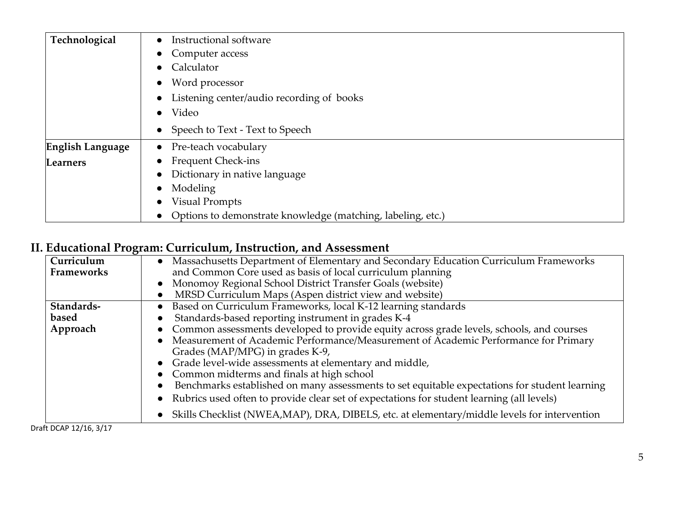| Technological           | Instructional software                                      |
|-------------------------|-------------------------------------------------------------|
|                         | Computer access                                             |
|                         | Calculator                                                  |
|                         | Word processor                                              |
|                         | Listening center/audio recording of books                   |
|                         | Video<br>$\bullet$                                          |
|                         | • Speech to Text - Text to Speech                           |
| <b>English Language</b> | Pre-teach vocabulary<br>$\bullet$                           |
| Learners                | <b>Frequent Check-ins</b>                                   |
|                         | Dictionary in native language                               |
|                         | Modeling                                                    |
|                         | <b>Visual Prompts</b><br>$\bullet$                          |
|                         | Options to demonstrate knowledge (matching, labeling, etc.) |

## **II. Educational Program: Curriculum, Instruction, and Assessment**

| Curriculum           | • Massachusetts Department of Elementary and Secondary Education Curriculum Frameworks                     |
|----------------------|------------------------------------------------------------------------------------------------------------|
| <b>Frameworks</b>    | and Common Core used as basis of local curriculum planning                                                 |
|                      | Monomoy Regional School District Transfer Goals (website)                                                  |
|                      | MRSD Curriculum Maps (Aspen district view and website)                                                     |
| Standards-           | Based on Curriculum Frameworks, local K-12 learning standards<br>$\bullet$                                 |
| based                | Standards-based reporting instrument in grades K-4                                                         |
| Approach             | • Common assessments developed to provide equity across grade levels, schools, and courses                 |
|                      | Measurement of Academic Performance/Measurement of Academic Performance for Primary                        |
|                      | Grades (MAP/MPG) in grades K-9,                                                                            |
|                      | • Grade level-wide assessments at elementary and middle,                                                   |
|                      | • Common midterms and finals at high school                                                                |
|                      | Benchmarks established on many assessments to set equitable expectations for student learning<br>$\bullet$ |
|                      | Rubrics used often to provide clear set of expectations for student learning (all levels)<br>$\bullet$     |
|                      | Skills Checklist (NWEA,MAP), DRA, DIBELS, etc. at elementary/middle levels for intervention<br>$\bullet$   |
| raft DCAP 12/16 3/17 |                                                                                                            |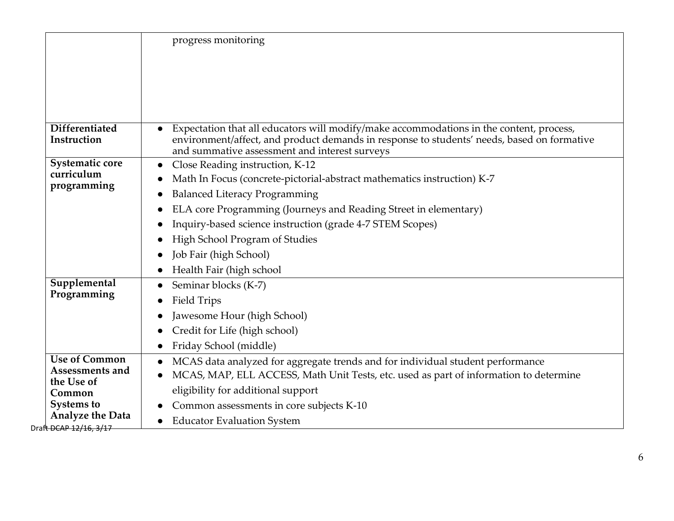|                                                                                                                                           | progress monitoring                                                                                                                                                                                                                                                                                                                                                                                                             |
|-------------------------------------------------------------------------------------------------------------------------------------------|---------------------------------------------------------------------------------------------------------------------------------------------------------------------------------------------------------------------------------------------------------------------------------------------------------------------------------------------------------------------------------------------------------------------------------|
| <b>Differentiated</b><br>Instruction                                                                                                      | Expectation that all educators will modify/make accommodations in the content, process,<br>$\bullet$<br>environment/affect, and product demands in response to students' needs, based on formative<br>and summative assessment and interest surveys                                                                                                                                                                             |
| Systematic core<br>curriculum<br>programming<br>Supplemental<br>Programming                                                               | Close Reading instruction, K-12<br>$\bullet$<br>Math In Focus (concrete-pictorial-abstract mathematics instruction) K-7<br><b>Balanced Literacy Programming</b><br>ELA core Programming (Journeys and Reading Street in elementary)<br>Inquiry-based science instruction (grade 4-7 STEM Scopes)<br>High School Program of Studies<br>Job Fair (high School)<br>Health Fair (high school<br>Seminar blocks (K-7)<br>Field Trips |
|                                                                                                                                           | Jawesome Hour (high School)<br>Credit for Life (high school)<br>Friday School (middle)<br>$\bullet$                                                                                                                                                                                                                                                                                                                             |
| <b>Use of Common</b><br>Assessments and<br>the Use of<br>Common<br><b>Systems to</b><br><b>Analyze the Data</b><br>Draft DCAP 12/16, 3/17 | MCAS data analyzed for aggregate trends and for individual student performance<br>MCAS, MAP, ELL ACCESS, Math Unit Tests, etc. used as part of information to determine<br>eligibility for additional support<br>Common assessments in core subjects K-10<br><b>Educator Evaluation System</b><br>$\bullet$                                                                                                                     |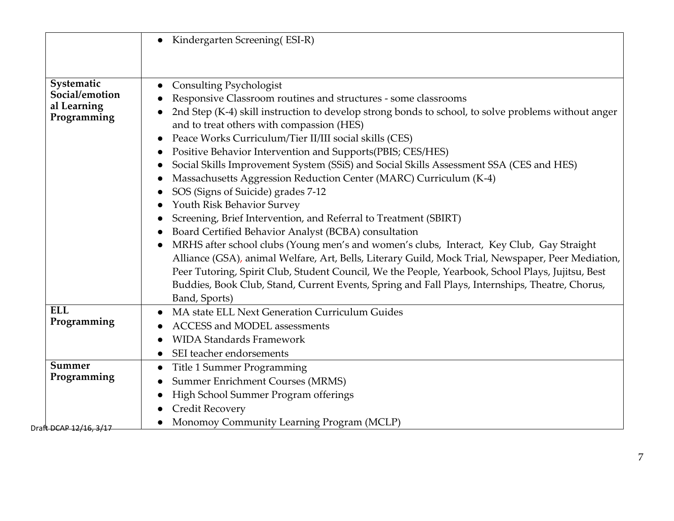|                                                            | Kindergarten Screening (ESI-R)                                                                                                                                                                                                                                                                                                                                                                                                                                                                                                                                                                                                                                                                                                                                                                                                                                                                                                                                                                                                                                                                                                                                                            |
|------------------------------------------------------------|-------------------------------------------------------------------------------------------------------------------------------------------------------------------------------------------------------------------------------------------------------------------------------------------------------------------------------------------------------------------------------------------------------------------------------------------------------------------------------------------------------------------------------------------------------------------------------------------------------------------------------------------------------------------------------------------------------------------------------------------------------------------------------------------------------------------------------------------------------------------------------------------------------------------------------------------------------------------------------------------------------------------------------------------------------------------------------------------------------------------------------------------------------------------------------------------|
| Systematic<br>Social/emotion<br>al Learning<br>Programming | Consulting Psychologist<br>Responsive Classroom routines and structures - some classrooms<br>2nd Step (K-4) skill instruction to develop strong bonds to school, to solve problems without anger<br>and to treat others with compassion (HES)<br>Peace Works Curriculum/Tier II/III social skills (CES)<br>$\bullet$<br>Positive Behavior Intervention and Supports(PBIS; CES/HES)<br>$\bullet$<br>Social Skills Improvement System (SSiS) and Social Skills Assessment SSA (CES and HES)<br>Massachusetts Aggression Reduction Center (MARC) Curriculum (K-4)<br>SOS (Signs of Suicide) grades 7-12<br>Youth Risk Behavior Survey<br>Screening, Brief Intervention, and Referral to Treatment (SBIRT)<br>Board Certified Behavior Analyst (BCBA) consultation<br>MRHS after school clubs (Young men's and women's clubs, Interact, Key Club, Gay Straight<br>Alliance (GSA), animal Welfare, Art, Bells, Literary Guild, Mock Trial, Newspaper, Peer Mediation,<br>Peer Tutoring, Spirit Club, Student Council, We the People, Yearbook, School Plays, Jujitsu, Best<br>Buddies, Book Club, Stand, Current Events, Spring and Fall Plays, Internships, Theatre, Chorus,<br>Band, Sports) |
| <b>ELL</b><br>Programming                                  | MA state ELL Next Generation Curriculum Guides<br>$\bullet$<br><b>ACCESS and MODEL assessments</b><br><b>WIDA Standards Framework</b><br>SEI teacher endorsements                                                                                                                                                                                                                                                                                                                                                                                                                                                                                                                                                                                                                                                                                                                                                                                                                                                                                                                                                                                                                         |
| Summer<br>Programming                                      | Title 1 Summer Programming<br><b>Summer Enrichment Courses (MRMS)</b><br>High School Summer Program offerings<br><b>Credit Recovery</b><br>Monomoy Community Learning Program (MCLP)                                                                                                                                                                                                                                                                                                                                                                                                                                                                                                                                                                                                                                                                                                                                                                                                                                                                                                                                                                                                      |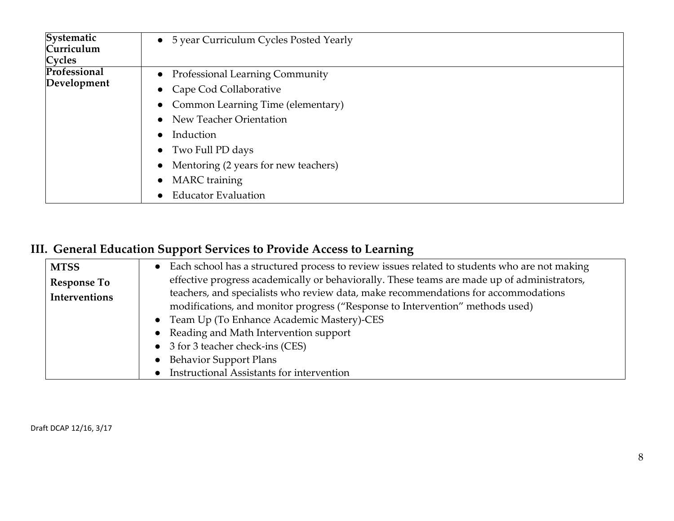| Systematic<br>Curriculum<br>Cycles | 5 year Curriculum Cycles Posted Yearly<br>$\bullet$ |
|------------------------------------|-----------------------------------------------------|
| Professional                       | <b>Professional Learning Community</b>              |
| Development                        | • Cape Cod Collaborative                            |
|                                    | Common Learning Time (elementary)<br>$\bullet$      |
|                                    | New Teacher Orientation                             |
|                                    | Induction                                           |
|                                    | Two Full PD days<br>$\bullet$                       |
|                                    | Mentoring (2 years for new teachers)                |
|                                    | <b>MARC</b> training                                |
|                                    | <b>Educator Evaluation</b>                          |

## **III. General Education Support Services to Provide Access to Learning**

| <b>MTSS</b>          | Each school has a structured process to review issues related to students who are not making |
|----------------------|----------------------------------------------------------------------------------------------|
| <b>Response To</b>   | effective progress academically or behaviorally. These teams are made up of administrators,  |
| <b>Interventions</b> | teachers, and specialists who review data, make recommendations for accommodations           |
|                      | modifications, and monitor progress ("Response to Intervention" methods used)                |
|                      | • Team Up (To Enhance Academic Mastery)-CES                                                  |
|                      | • Reading and Math Intervention support                                                      |
|                      | • 3 for 3 teacher check-ins (CES)                                                            |
|                      | <b>Behavior Support Plans</b>                                                                |
|                      | Instructional Assistants for intervention                                                    |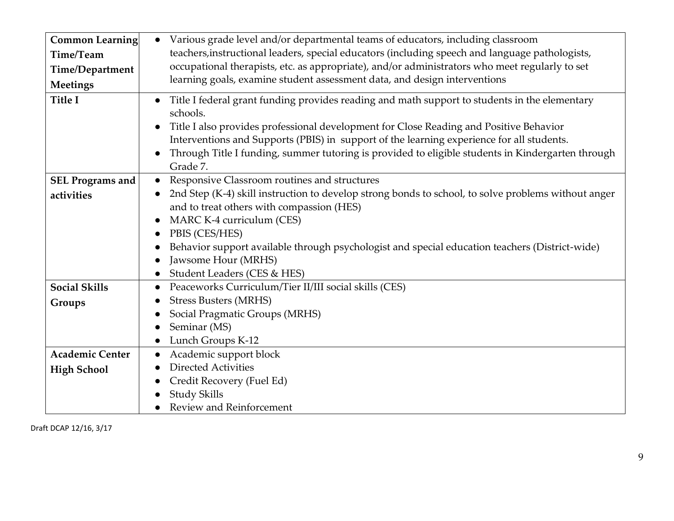| <b>Common Learning</b>  | Various grade level and/or departmental teams of educators, including classroom<br>$\bullet$                                                                                                                     |
|-------------------------|------------------------------------------------------------------------------------------------------------------------------------------------------------------------------------------------------------------|
| Time/Team               | teachers, instructional leaders, special educators (including speech and language pathologists,                                                                                                                  |
| Time/Department         | occupational therapists, etc. as appropriate), and/or administrators who meet regularly to set                                                                                                                   |
| <b>Meetings</b>         | learning goals, examine student assessment data, and design interventions                                                                                                                                        |
| <b>Title I</b>          | Title I federal grant funding provides reading and math support to students in the elementary<br>$\bullet$<br>schools.<br>Title I also provides professional development for Close Reading and Positive Behavior |
|                         | Interventions and Supports (PBIS) in support of the learning experience for all students.                                                                                                                        |
|                         | Through Title I funding, summer tutoring is provided to eligible students in Kindergarten through<br>Grade 7.                                                                                                    |
| <b>SEL Programs and</b> | Responsive Classroom routines and structures<br>$\bullet$                                                                                                                                                        |
| activities              | 2nd Step (K-4) skill instruction to develop strong bonds to school, to solve problems without anger                                                                                                              |
|                         | and to treat others with compassion (HES)                                                                                                                                                                        |
|                         | MARC K-4 curriculum (CES)                                                                                                                                                                                        |
|                         | PBIS (CES/HES)                                                                                                                                                                                                   |
|                         | Behavior support available through psychologist and special education teachers (District-wide)                                                                                                                   |
|                         | Jawsome Hour (MRHS)                                                                                                                                                                                              |
|                         | Student Leaders (CES & HES)                                                                                                                                                                                      |
| <b>Social Skills</b>    | Peaceworks Curriculum/Tier II/III social skills (CES)                                                                                                                                                            |
| Groups                  | <b>Stress Busters (MRHS)</b>                                                                                                                                                                                     |
|                         | Social Pragmatic Groups (MRHS)                                                                                                                                                                                   |
|                         | Seminar (MS)                                                                                                                                                                                                     |
|                         | Lunch Groups K-12<br>$\bullet$                                                                                                                                                                                   |
| <b>Academic Center</b>  | Academic support block                                                                                                                                                                                           |
| <b>High School</b>      | <b>Directed Activities</b>                                                                                                                                                                                       |
|                         | Credit Recovery (Fuel Ed)                                                                                                                                                                                        |
|                         | <b>Study Skills</b>                                                                                                                                                                                              |
|                         | Review and Reinforcement                                                                                                                                                                                         |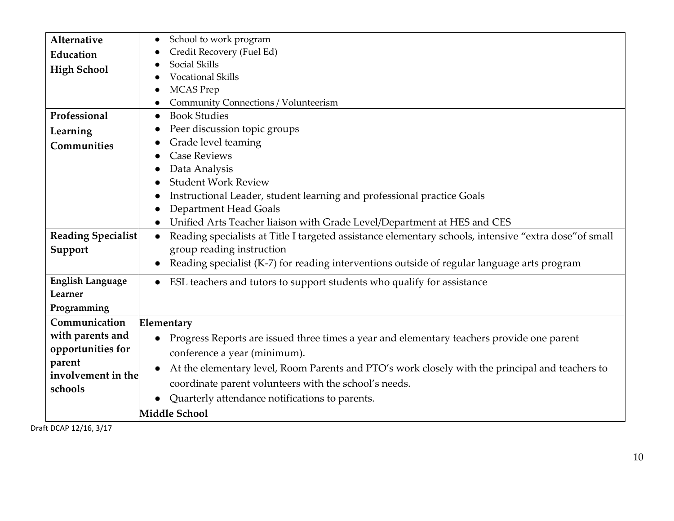| Alternative             | School to work program<br>$\bullet$                                                                                 |
|-------------------------|---------------------------------------------------------------------------------------------------------------------|
| Education               | Credit Recovery (Fuel Ed)                                                                                           |
| <b>High School</b>      | Social Skills                                                                                                       |
|                         | <b>Vocational Skills</b>                                                                                            |
|                         | <b>MCAS</b> Prep                                                                                                    |
|                         | Community Connections / Volunteerism                                                                                |
| Professional            | <b>Book Studies</b><br>$\bullet$                                                                                    |
| Learning                | Peer discussion topic groups                                                                                        |
| Communities             | Grade level teaming                                                                                                 |
|                         | <b>Case Reviews</b>                                                                                                 |
|                         | Data Analysis                                                                                                       |
|                         | <b>Student Work Review</b>                                                                                          |
|                         | Instructional Leader, student learning and professional practice Goals                                              |
|                         | Department Head Goals                                                                                               |
|                         | Unified Arts Teacher liaison with Grade Level/Department at HES and CES<br>$\bullet$                                |
| Reading Specialist      | Reading specialists at Title I targeted assistance elementary schools, intensive "extra dose" of small<br>$\bullet$ |
| Support                 | group reading instruction                                                                                           |
|                         | Reading specialist (K-7) for reading interventions outside of regular language arts program<br>$\bullet$            |
| <b>English Language</b> | ESL teachers and tutors to support students who qualify for assistance<br>$\bullet$                                 |
| Learner                 |                                                                                                                     |
| Programming             |                                                                                                                     |
| Communication           | Elementary                                                                                                          |
| with parents and        | Progress Reports are issued three times a year and elementary teachers provide one parent                           |
| opportunities for       | conference a year (minimum).                                                                                        |
| parent                  | At the elementary level, Room Parents and PTO's work closely with the principal and teachers to<br>$\bullet$        |
| involvement in the      |                                                                                                                     |
| schools                 | coordinate parent volunteers with the school's needs.                                                               |
|                         | Quarterly attendance notifications to parents.<br>$\bullet$                                                         |
|                         | Middle School                                                                                                       |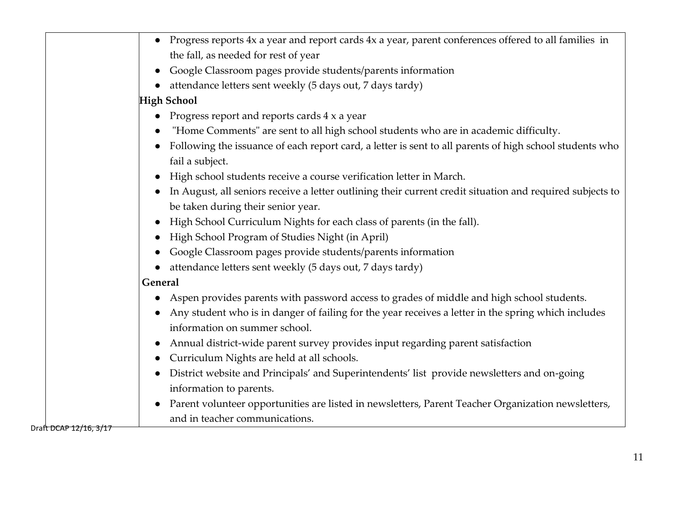|                      | Progress reports 4x a year and report cards 4x a year, parent conferences offered to all families in      |
|----------------------|-----------------------------------------------------------------------------------------------------------|
|                      | the fall, as needed for rest of year                                                                      |
|                      | Google Classroom pages provide students/parents information                                               |
|                      | attendance letters sent weekly (5 days out, 7 days tardy)                                                 |
|                      | <b>High School</b>                                                                                        |
|                      | Progress report and reports cards 4 x a year                                                              |
|                      | "Home Comments" are sent to all high school students who are in academic difficulty.                      |
|                      | Following the issuance of each report card, a letter is sent to all parents of high school students who   |
|                      | fail a subject.                                                                                           |
|                      | High school students receive a course verification letter in March.                                       |
|                      | In August, all seniors receive a letter outlining their current credit situation and required subjects to |
|                      | be taken during their senior year.                                                                        |
|                      | High School Curriculum Nights for each class of parents (in the fall).                                    |
|                      | High School Program of Studies Night (in April)                                                           |
|                      | Google Classroom pages provide students/parents information                                               |
|                      | attendance letters sent weekly (5 days out, 7 days tardy)                                                 |
|                      | <b>General</b>                                                                                            |
|                      | Aspen provides parents with password access to grades of middle and high school students.                 |
|                      | Any student who is in danger of failing for the year receives a letter in the spring which includes       |
|                      | information on summer school.                                                                             |
|                      | Annual district-wide parent survey provides input regarding parent satisfaction                           |
|                      | Curriculum Nights are held at all schools.                                                                |
|                      | District website and Principals' and Superintendents' list provide newsletters and on-going               |
|                      | information to parents.                                                                                   |
|                      | Parent volunteer opportunities are listed in newsletters, Parent Teacher Organization newsletters,        |
|                      | and in teacher communications.                                                                            |
| ተ ከሮል <u>ክ 12/16</u> |                                                                                                           |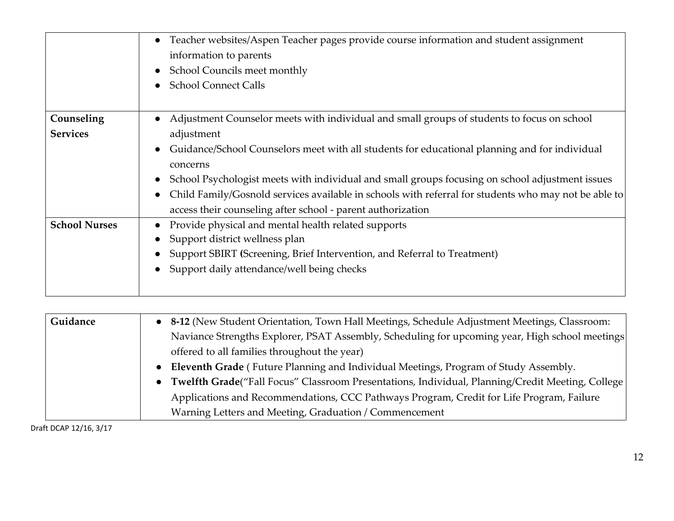|                      | Teacher websites/Aspen Teacher pages provide course information and student assignment<br>$\bullet$<br>information to parents |
|----------------------|-------------------------------------------------------------------------------------------------------------------------------|
|                      | School Councils meet monthly<br>$\bullet$                                                                                     |
|                      | <b>School Connect Calls</b><br>$\bullet$                                                                                      |
| Counseling           | Adjustment Counselor meets with individual and small groups of students to focus on school                                    |
| <b>Services</b>      | adjustment                                                                                                                    |
|                      | Guidance/School Counselors meet with all students for educational planning and for individual<br>$\bullet$                    |
|                      | concerns                                                                                                                      |
|                      | School Psychologist meets with individual and small groups focusing on school adjustment issues<br>$\bullet$                  |
|                      | Child Family/Gosnold services available in schools with referral for students who may not be able to<br>$\bullet$             |
|                      | access their counseling after school - parent authorization                                                                   |
| <b>School Nurses</b> | Provide physical and mental health related supports                                                                           |
|                      | Support district wellness plan                                                                                                |
|                      | Support SBIRT (Screening, Brief Intervention, and Referral to Treatment)                                                      |
|                      | Support daily attendance/well being checks                                                                                    |
|                      |                                                                                                                               |

| Guidance | • 8-12 (New Student Orientation, Town Hall Meetings, Schedule Adjustment Meetings, Classroom:      |
|----------|----------------------------------------------------------------------------------------------------|
|          | Naviance Strengths Explorer, PSAT Assembly, Scheduling for upcoming year, High school meetings     |
|          | offered to all families throughout the year)                                                       |
|          | • Eleventh Grade (Future Planning and Individual Meetings, Program of Study Assembly.              |
|          | • Twelfth Grade("Fall Focus" Classroom Presentations, Individual, Planning/Credit Meeting, College |
|          | Applications and Recommendations, CCC Pathways Program, Credit for Life Program, Failure           |
|          | Warning Letters and Meeting, Graduation / Commencement                                             |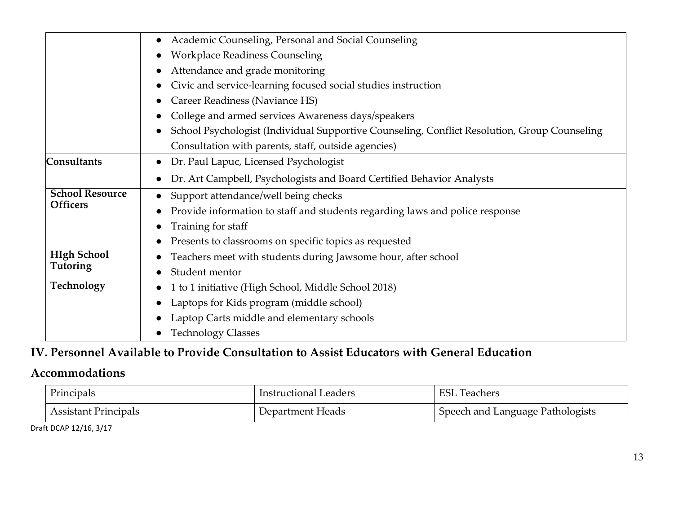|                        | Academic Counseling, Personal and Social Counseling                                          |
|------------------------|----------------------------------------------------------------------------------------------|
|                        | <b>Workplace Readiness Counseling</b>                                                        |
|                        | Attendance and grade monitoring                                                              |
|                        | Civic and service-learning focused social studies instruction                                |
|                        | Career Readiness (Naviance HS)                                                               |
|                        | College and armed services Awareness days/speakers                                           |
|                        | School Psychologist (Individual Supportive Counseling, Conflict Resolution, Group Counseling |
|                        | Consultation with parents, staff, outside agencies)                                          |
| <b>Consultants</b>     | Dr. Paul Lapuc, Licensed Psychologist                                                        |
|                        | Dr. Art Campbell, Psychologists and Board Certified Behavior Analysts                        |
| <b>School Resource</b> | Support attendance/well being checks                                                         |
| <b>Officers</b>        | Provide information to staff and students regarding laws and police response                 |
|                        | Training for staff                                                                           |
|                        | Presents to classrooms on specific topics as requested                                       |
| <b>HIgh School</b>     | Teachers meet with students during Jawsome hour, after school                                |
| <b>Tutoring</b>        | Student mentor                                                                               |
| Technology             | 1 to 1 initiative (High School, Middle School 2018)                                          |
|                        | Laptops for Kids program (middle school)                                                     |
|                        | Laptop Carts middle and elementary schools                                                   |
|                        | <b>Technology Classes</b>                                                                    |

## **IV. Personnel Available to Provide Consultation to Assist Educators with General Education**

## **Accommodations**

| Principals           | Instructional Leaders | <b>ESL</b><br><b>Teachers</b>    |
|----------------------|-----------------------|----------------------------------|
| Assistant Principals | Department Heads      | Speech and Language Pathologists |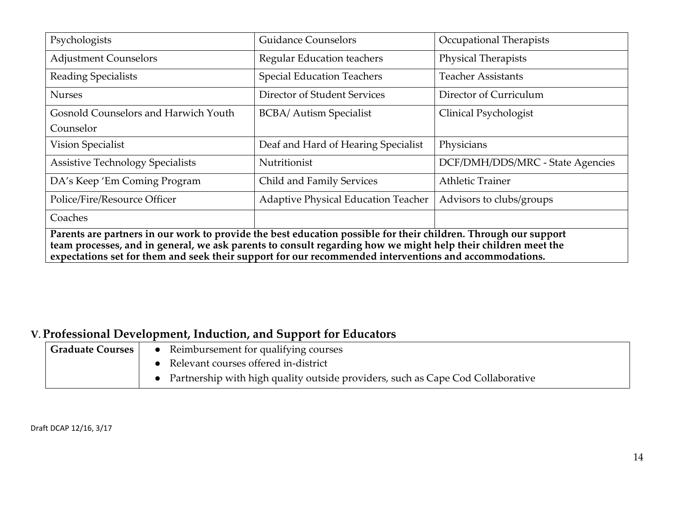| Psychologists                                                                                                                                                                                                                                                                                                                              | <b>Guidance Counselors</b>                 | Occupational Therapists          |
|--------------------------------------------------------------------------------------------------------------------------------------------------------------------------------------------------------------------------------------------------------------------------------------------------------------------------------------------|--------------------------------------------|----------------------------------|
| <b>Adjustment Counselors</b>                                                                                                                                                                                                                                                                                                               | <b>Regular Education teachers</b>          | <b>Physical Therapists</b>       |
| <b>Reading Specialists</b>                                                                                                                                                                                                                                                                                                                 | <b>Special Education Teachers</b>          | <b>Teacher Assistants</b>        |
| <b>Nurses</b>                                                                                                                                                                                                                                                                                                                              | Director of Student Services               | Director of Curriculum           |
| Gosnold Counselors and Harwich Youth                                                                                                                                                                                                                                                                                                       | <b>BCBA/ Autism Specialist</b>             | Clinical Psychologist            |
| Counselor                                                                                                                                                                                                                                                                                                                                  |                                            |                                  |
| Vision Specialist                                                                                                                                                                                                                                                                                                                          | Deaf and Hard of Hearing Specialist        | Physicians                       |
| <b>Assistive Technology Specialists</b>                                                                                                                                                                                                                                                                                                    | Nutritionist                               | DCF/DMH/DDS/MRC - State Agencies |
| DA's Keep 'Em Coming Program                                                                                                                                                                                                                                                                                                               | Child and Family Services                  | <b>Athletic Trainer</b>          |
| Police/Fire/Resource Officer                                                                                                                                                                                                                                                                                                               | <b>Adaptive Physical Education Teacher</b> | Advisors to clubs/groups         |
| Coaches                                                                                                                                                                                                                                                                                                                                    |                                            |                                  |
| Parents are partners in our work to provide the best education possible for their children. Through our support<br>team processes, and in general, we ask parents to consult regarding how we might help their children meet the<br>expectations set for them and seek their support for our recommended interventions and accommodations. |                                            |                                  |

## **V. Professional Development, Induction, and Support for Educators**

| <b>Graduate Courses</b> | • Reimbursement for qualifying courses                                            |
|-------------------------|-----------------------------------------------------------------------------------|
|                         | • Relevant courses offered in-district                                            |
|                         | • Partnership with high quality outside providers, such as Cape Cod Collaborative |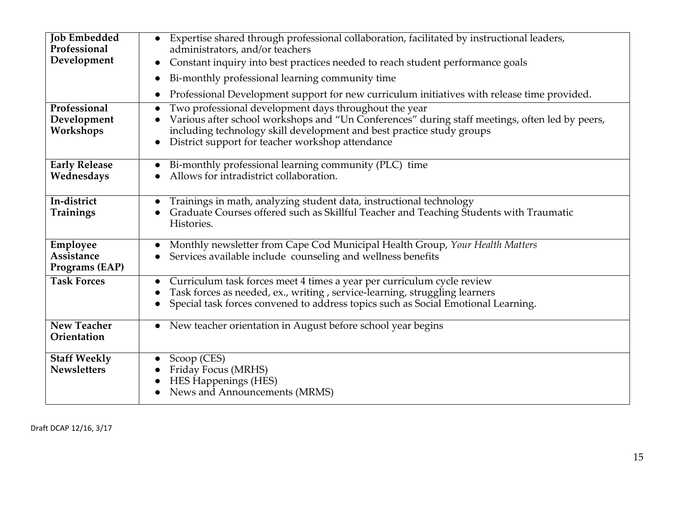| <b>Job Embedded</b><br>Professional       | Expertise shared through professional collaboration, facilitated by instructional leaders,<br>administrators, and/or teachers                                                                                                                                                        |
|-------------------------------------------|--------------------------------------------------------------------------------------------------------------------------------------------------------------------------------------------------------------------------------------------------------------------------------------|
| Development                               | Constant inquiry into best practices needed to reach student performance goals<br>$\bullet$                                                                                                                                                                                          |
|                                           | Bi-monthly professional learning community time                                                                                                                                                                                                                                      |
|                                           | Professional Development support for new curriculum initiatives with release time provided.                                                                                                                                                                                          |
| Professional<br>Development<br>Workshops  | Two professional development days throughout the year<br>Various after school workshops and "Un Conferences" during staff meetings, often led by peers,<br>including technology skill development and best practice study groups<br>District support for teacher workshop attendance |
| <b>Early Release</b><br>Wednesdays        | Bi-monthly professional learning community (PLC) time<br>Allows for intradistrict collaboration.                                                                                                                                                                                     |
| In-district<br><b>Trainings</b>           | Trainings in math, analyzing student data, instructional technology<br>Graduate Courses offered such as Skillful Teacher and Teaching Students with Traumatic<br>Histories.                                                                                                          |
| Employee<br>Assistance<br>Programs (EAP)  | Monthly newsletter from Cape Cod Municipal Health Group, Your Health Matters<br>Services available include counseling and wellness benefits                                                                                                                                          |
| <b>Task Forces</b>                        | Curriculum task forces meet 4 times a year per curriculum cycle review<br>Task forces as needed, ex., writing, service-learning, struggling learners<br>Special task forces convened to address topics such as Social Emotional Learning.                                            |
| <b>New Teacher</b><br>Orientation         | New teacher orientation in August before school year begins<br>$\bullet$                                                                                                                                                                                                             |
| <b>Staff Weekly</b><br><b>Newsletters</b> | Scoop (CES)<br>Friday Focus (MRHS)<br>HES Happenings (HES)<br>News and Announcements (MRMS)                                                                                                                                                                                          |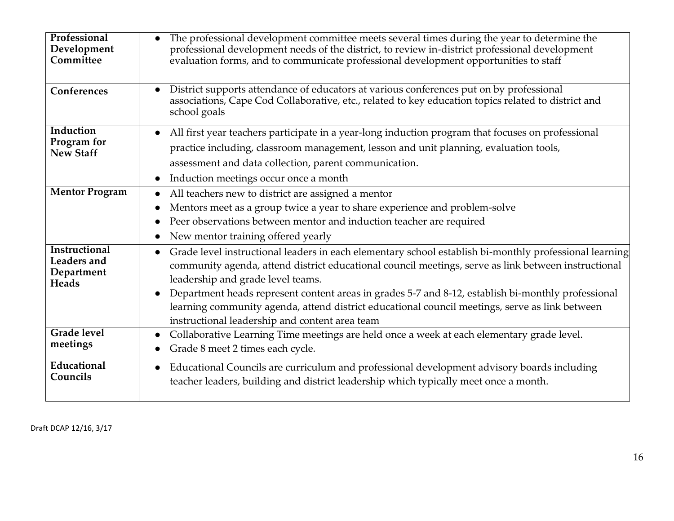| Professional<br>Development<br>Committee                                 | The professional development committee meets several times during the year to determine the<br>professional development needs of the district, to review in-district professional development<br>evaluation forms, and to communicate professional development opportunities to staff                                                                                                                                                                                                                                                  |
|--------------------------------------------------------------------------|----------------------------------------------------------------------------------------------------------------------------------------------------------------------------------------------------------------------------------------------------------------------------------------------------------------------------------------------------------------------------------------------------------------------------------------------------------------------------------------------------------------------------------------|
| Conferences                                                              | District supports attendance of educators at various conferences put on by professional<br>$\bullet$<br>associations, Cape Cod Collaborative, etc., related to key education topics related to district and<br>school goals                                                                                                                                                                                                                                                                                                            |
| Induction<br>Program for<br><b>New Staff</b>                             | All first year teachers participate in a year-long induction program that focuses on professional<br>$\bullet$<br>practice including, classroom management, lesson and unit planning, evaluation tools,<br>assessment and data collection, parent communication.<br>Induction meetings occur once a month<br>$\bullet$                                                                                                                                                                                                                 |
| <b>Mentor Program</b>                                                    | All teachers new to district are assigned a mentor<br>$\bullet$<br>Mentors meet as a group twice a year to share experience and problem-solve<br>$\bullet$<br>Peer observations between mentor and induction teacher are required<br>New mentor training offered yearly                                                                                                                                                                                                                                                                |
| <b>Instructional</b><br><b>Leaders</b> and<br>Department<br><b>Heads</b> | Grade level instructional leaders in each elementary school establish bi-monthly professional learning<br>$\bullet$<br>community agenda, attend district educational council meetings, serve as link between instructional<br>leadership and grade level teams.<br>Department heads represent content areas in grades 5-7 and 8-12, establish bi-monthly professional<br>$\bullet$<br>learning community agenda, attend district educational council meetings, serve as link between<br>instructional leadership and content area team |
| <b>Grade</b> level<br>meetings                                           | Collaborative Learning Time meetings are held once a week at each elementary grade level.<br>$\bullet$<br>Grade 8 meet 2 times each cycle.                                                                                                                                                                                                                                                                                                                                                                                             |
| Educational<br>Councils                                                  | Educational Councils are curriculum and professional development advisory boards including<br>$\bullet$<br>teacher leaders, building and district leadership which typically meet once a month.                                                                                                                                                                                                                                                                                                                                        |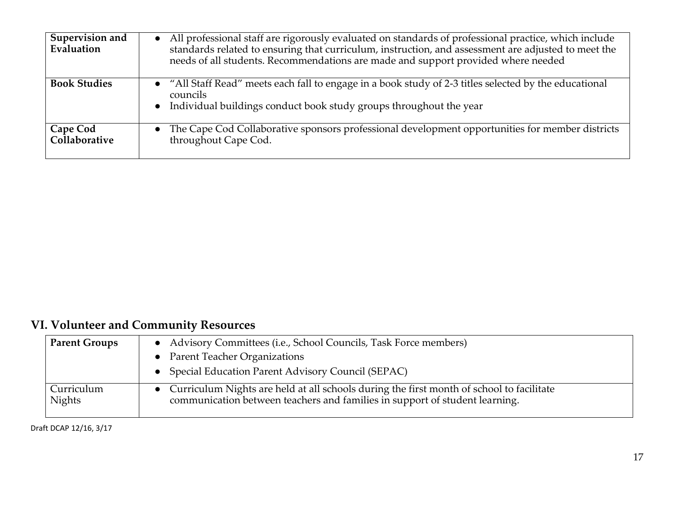| Supervision and<br>Evaluation | • All professional staff are rigorously evaluated on standards of professional practice, which include<br>standards related to ensuring that curriculum, instruction, and assessment are adjusted to meet the<br>needs of all students. Recommendations are made and support provided where needed |
|-------------------------------|----------------------------------------------------------------------------------------------------------------------------------------------------------------------------------------------------------------------------------------------------------------------------------------------------|
| <b>Book Studies</b>           | • "All Staff Read" meets each fall to engage in a book study of 2-3 titles selected by the educational<br>councils<br>• Individual buildings conduct book study groups throughout the year                                                                                                         |
| Cape Cod<br>Collaborative     | The Cape Cod Collaborative sponsors professional development opportunities for member districts<br>throughout Cape Cod.                                                                                                                                                                            |

# **VI. Volunteer and Community Resources**

| <b>Parent Groups</b>        | • Advisory Committees (i.e., School Councils, Task Force members)                                                                                                         |
|-----------------------------|---------------------------------------------------------------------------------------------------------------------------------------------------------------------------|
|                             | • Parent Teacher Organizations                                                                                                                                            |
|                             | • Special Education Parent Advisory Council (SEPAC)                                                                                                                       |
| Curriculum<br><b>Nights</b> | • Curriculum Nights are held at all schools during the first month of school to facilitate<br>communication between teachers and families in support of student learning. |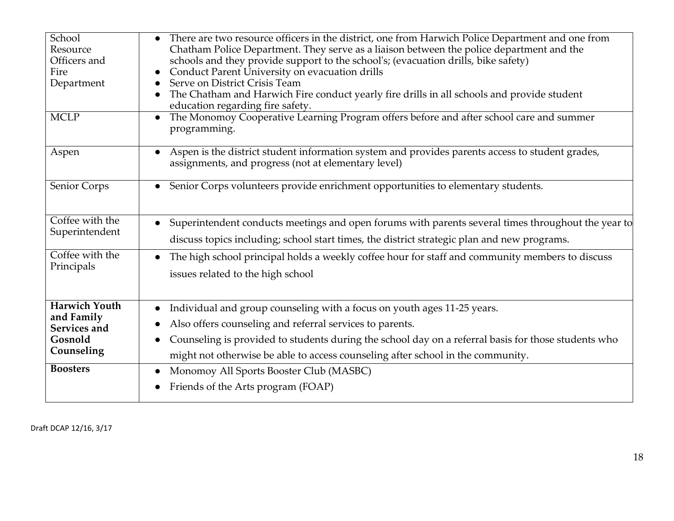| School<br>Resource<br>Officers and<br>Fire<br>Department                    | There are two resource officers in the district, one from Harwich Police Department and one from<br>Chatham Police Department. They serve as a liaison between the police department and the<br>schools and they provide support to the school's; (evacuation drills, bike safety)<br>Conduct Parent University on evacuation drills<br>Serve on District Crisis Team<br>The Chatham and Harwich Fire conduct yearly fire drills in all schools and provide student<br>education regarding fire safety. |
|-----------------------------------------------------------------------------|---------------------------------------------------------------------------------------------------------------------------------------------------------------------------------------------------------------------------------------------------------------------------------------------------------------------------------------------------------------------------------------------------------------------------------------------------------------------------------------------------------|
| $\overline{\text{MCLP}}$                                                    | The Monomoy Cooperative Learning Program offers before and after school care and summer<br>programming.                                                                                                                                                                                                                                                                                                                                                                                                 |
| Aspen                                                                       | Aspen is the district student information system and provides parents access to student grades,<br>assignments, and progress (not at elementary level)                                                                                                                                                                                                                                                                                                                                                  |
| Senior Corps                                                                | Senior Corps volunteers provide enrichment opportunities to elementary students.<br>$\bullet$                                                                                                                                                                                                                                                                                                                                                                                                           |
| Coffee with the<br>Superintendent                                           | Superintendent conducts meetings and open forums with parents several times throughout the year to<br>discuss topics including; school start times, the district strategic plan and new programs.                                                                                                                                                                                                                                                                                                       |
| Coffee with the<br>Principals                                               | The high school principal holds a weekly coffee hour for staff and community members to discuss<br>issues related to the high school                                                                                                                                                                                                                                                                                                                                                                    |
| <b>Harwich Youth</b><br>and Family<br>Services and<br>Gosnold<br>Counseling | Individual and group counseling with a focus on youth ages 11-25 years.<br>Also offers counseling and referral services to parents.<br>Counseling is provided to students during the school day on a referral basis for those students who<br>might not otherwise be able to access counseling after school in the community.                                                                                                                                                                           |
| <b>Boosters</b>                                                             | Monomoy All Sports Booster Club (MASBC)<br>Friends of the Arts program (FOAP)                                                                                                                                                                                                                                                                                                                                                                                                                           |